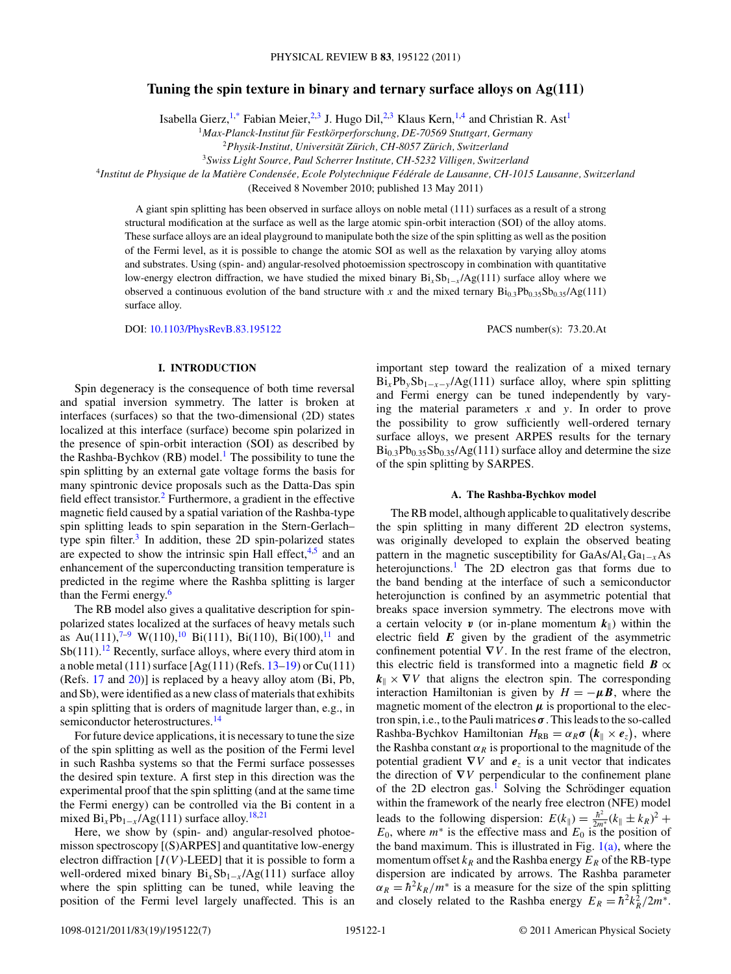# **Tuning the spin texture in binary and ternary surface alloys on Ag(111)**

Isabella Gierz,<sup>1[,\\*](#page-5-0)</sup> Fabian Meier,<sup>2,3</sup> J. Hugo Dil,<sup>2,3</sup> Klaus Kern,<sup>1,4</sup> and Christian R. Ast<sup>1</sup>

<sup>1</sup>Max-Planck-Institut für Festkörperforschung, DE-70569 Stuttgart, Germany

<sup>2</sup>*Physik-Institut, Universitat Z ¨ urich, CH-8057 Z ¨ urich, Switzerland ¨*

<sup>3</sup>*Swiss Light Source, Paul Scherrer Institute, CH-5232 Villigen, Switzerland*

<sup>4</sup>*Institut de Physique de la Matiere Condens ` ee, Ecole Polytechnique F ´ ed´ erale de Lausanne, CH-1015 Lausanne, Switzerland ´*

(Received 8 November 2010; published 13 May 2011)

A giant spin splitting has been observed in surface alloys on noble metal (111) surfaces as a result of a strong structural modification at the surface as well as the large atomic spin-orbit interaction (SOI) of the alloy atoms. These surface alloys are an ideal playground to manipulate both the size of the spin splitting as well as the position of the Fermi level, as it is possible to change the atomic SOI as well as the relaxation by varying alloy atoms and substrates. Using (spin- and) angular-resolved photoemission spectroscopy in combination with quantitative low-energy electron diffraction, we have studied the mixed binary Bi<sub>x</sub>Sb<sub>1</sub><sub>−*x*</sub>/Ag(111) surface alloy where we observed a continuous evolution of the band structure with x and the mixed ternary  $\text{Bi}_{0.3}\text{Pb}_{0.35}\text{Sb}_{0.35}/\text{Ag}(111)$ surface alloy.

DOI: [10.1103/PhysRevB.83.195122](http://dx.doi.org/10.1103/PhysRevB.83.195122) PACS number(s): 73*.*20*.*At

#### **I. INTRODUCTION**

Spin degeneracy is the consequence of both time reversal and spatial inversion symmetry. The latter is broken at interfaces (surfaces) so that the two-dimensional (2D) states localized at this interface (surface) become spin polarized in the presence of spin-orbit interaction (SOI) as described by the Rashba-Bychkov  $(RB)$  model.<sup>1</sup> The possibility to tune the spin splitting by an external gate voltage forms the basis for many spintronic device proposals such as the Datta-Das spin field effect transistor. $<sup>2</sup>$  $<sup>2</sup>$  $<sup>2</sup>$  Furthermore, a gradient in the effective</sup> magnetic field caused by a spatial variation of the Rashba-type spin splitting leads to spin separation in the Stern-Gerlach– type spin filter. $3$  In addition, these 2D spin-polarized states are expected to show the intrinsic spin Hall effect, $4.5$  and an enhancement of the superconducting transition temperature is predicted in the regime where the Rashba splitting is larger than the Fermi energy.<sup>[6](#page-5-0)</sup>

The RB model also gives a qualitative description for spinpolarized states localized at the surfaces of heavy metals such as Au(111),<sup>[7–9](#page-5-0)</sup> W(1[10](#page-5-0)),<sup>10</sup> Bi([11](#page-5-0)1), Bi(110), Bi(100),<sup>11</sup> and  $Sb(111).$ <sup>[12](#page-5-0)</sup> Recently, surface alloys, where every third atom in a noble metal (111) surface  $[Ag(111)$  (Refs.  $13-19$ ) or Cu(111) (Refs. [17](#page-5-0) and [20\)](#page-6-0)] is replaced by a heavy alloy atom (Bi, Pb, and Sb), were identified as a new class of materials that exhibits a spin splitting that is orders of magnitude larger than, e.g., in semiconductor heterostructures.<sup>14</sup>

For future device applications, it is necessary to tune the size of the spin splitting as well as the position of the Fermi level in such Rashba systems so that the Fermi surface possesses the desired spin texture. A first step in this direction was the experimental proof that the spin splitting (and at the same time the Fermi energy) can be controlled via the Bi content in a mixed  $\text{Bi}_x \text{Pb}_{1-x} / \text{Ag}(111)$  surface alloy.<sup>18,[21](#page-6-0)</sup>

Here, we show by (spin- and) angular-resolved photoemisson spectroscopy [(S)ARPES] and quantitative low-energy electron diffraction  $[I(V)$ -LEED] that it is possible to form a well-ordered mixed binary Bi<sub>x</sub>Sb<sub>1−*x*</sub> /Ag(111) surface alloy where the spin splitting can be tuned, while leaving the position of the Fermi level largely unaffected. This is an important step toward the realization of a mixed ternary  $Bi_xPb_ySb_{1-x-y}/Ag(111)$  surface alloy, where spin splitting and Fermi energy can be tuned independently by varying the material parameters *x* and *y*. In order to prove the possibility to grow sufficiently well-ordered ternary surface alloys, we present ARPES results for the ternary  $Bi_{0.3}Pb_{0.35}Sb_{0.35}/Ag(111)$  surface alloy and determine the size of the spin splitting by SARPES.

#### **A. The Rashba-Bychkov model**

The RB model, although applicable to qualitatively describe the spin splitting in many different 2D electron systems, was originally developed to explain the observed beating pattern in the magnetic susceptibility for GaAs/Al<sub>*x*</sub>Ga<sub>1−*x*</sub>As heterojunctions.<sup>1</sup> The 2D electron gas that forms due to the band bending at the interface of such a semiconductor heterojunction is confined by an asymmetric potential that breaks space inversion symmetry. The electrons move with a certain velocity  $v$  (or in-plane momentum  $k_{\parallel}$ ) within the electric field *E* given by the gradient of the asymmetric confinement potential  $\nabla V$ . In the rest frame of the electron, this electric field is transformed into a magnetic field  $\mathbf{B} \propto$  $k_{\parallel} \times \nabla V$  that aligns the electron spin. The corresponding interaction Hamiltonian is given by  $H = -\mu B$ , where the magnetic moment of the electron  $\mu$  is proportional to the electron spin, i.e., to the Pauli matrices  $\sigma$ . This leads to the so-called Rashba-Bychkov Hamiltonian  $H_{RB} = \alpha_R \sigma \left( k_{\parallel} \times e_z \right)$ , where the Rashba constant  $\alpha_R$  is proportional to the magnitude of the potential gradient  $\nabla V$  and  $e_z$  is a unit vector that indicates the direction of  $\nabla V$  perpendicular to the confinement plane of the 2D electron gas.<sup>1</sup> Solving the Schrödinger equation within the framework of the nearly free electron (NFE) model leads to the following dispersion:  $E(k_{\parallel}) = \frac{\hbar^2}{2m^*} (k_{\parallel} \pm k_R)^2 +$  $E_0$ , where  $m^*$  is the effective mass and  $E_0$  is the position of the band maximum. This is illustrated in Fig.  $1(a)$ , where the momentum offset  $k_R$  and the Rashba energy  $E_R$  of the RB-type dispersion are indicated by arrows. The Rashba parameter  $\alpha_R = \hbar^2 k_R/m^*$  is a measure for the size of the spin splitting and closely related to the Rashba energy  $E_R = \hbar^2 k_R^2 / 2m^*$ .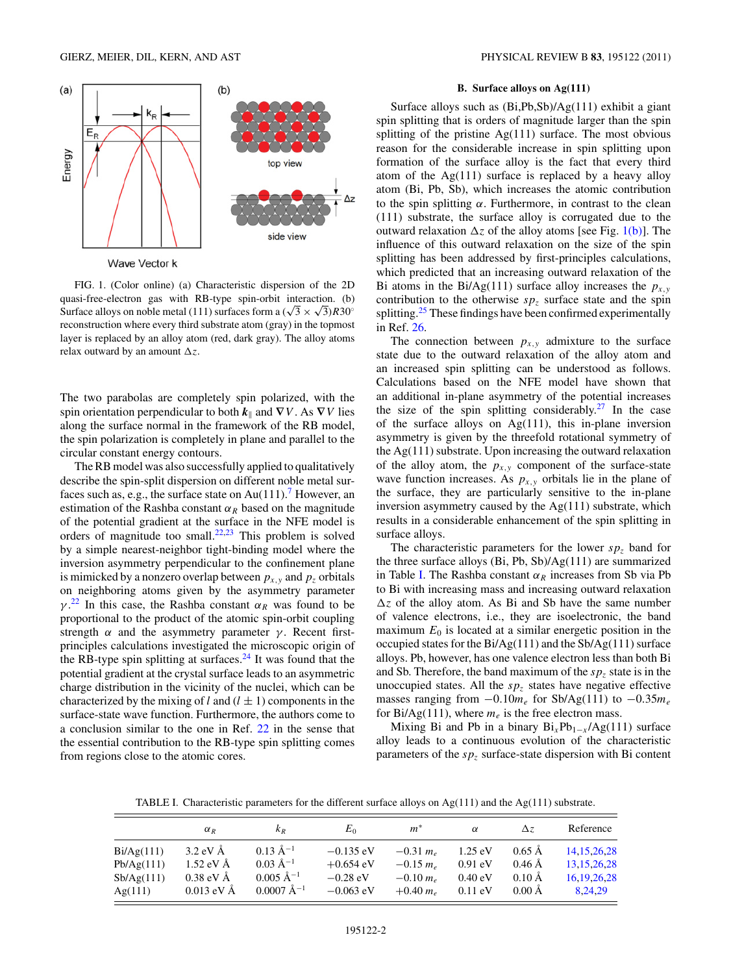<span id="page-1-0"></span>

FIG. 1. (Color online) (a) Characteristic dispersion of the 2D quasi-free-electron gas with RB-type spin-orbit interaction. (b) Surface alloys on noble metal (111) surfaces form a  $(\sqrt{3} \times \sqrt{3})R30^\circ$ reconstruction where every third substrate atom (gray) in the topmost layer is replaced by an alloy atom (red, dark gray). The alloy atoms relax outward by an amount  $\Delta z$ .

The two parabolas are completely spin polarized, with the spin orientation perpendicular to both  $k_{\parallel}$  and  $\nabla V$ . As  $\nabla V$  lies along the surface normal in the framework of the RB model, the spin polarization is completely in plane and parallel to the circular constant energy contours.

The RB model was also successfully applied to qualitatively describe the spin-split dispersion on different noble metal surfaces such as, e.g., the surface state on  $Au(111)$ .<sup>7</sup> However, an estimation of the Rashba constant  $\alpha_R$  based on the magnitude of the potential gradient at the surface in the NFE model is orders of magnitude too small. $22,23$  This problem is solved by a simple nearest-neighbor tight-binding model where the inversion asymmetry perpendicular to the confinement plane is mimicked by a nonzero overlap between  $p_{x,y}$  and  $p_z$  orbitals on neighboring atoms given by the asymmetry parameter  $\gamma$ <sup>[22](#page-6-0)</sup> In this case, the Rashba constant  $\alpha_R$  was found to be proportional to the product of the atomic spin-orbit coupling strength  $\alpha$  and the asymmetry parameter  $\gamma$ . Recent firstprinciples calculations investigated the microscopic origin of the RB-type spin splitting at surfaces. $^{24}$  It was found that the potential gradient at the crystal surface leads to an asymmetric charge distribution in the vicinity of the nuclei, which can be characterized by the mixing of *l* and  $(l \pm 1)$  components in the surface-state wave function. Furthermore, the authors come to a conclusion similar to the one in Ref. [22](#page-6-0) in the sense that the essential contribution to the RB-type spin splitting comes from regions close to the atomic cores.

# **B. Surface alloys on Ag(111)**

Surface alloys such as (Bi,Pb,Sb)/Ag(111) exhibit a giant spin splitting that is orders of magnitude larger than the spin splitting of the pristine  $Ag(111)$  surface. The most obvious reason for the considerable increase in spin splitting upon formation of the surface alloy is the fact that every third atom of the Ag(111) surface is replaced by a heavy alloy atom (Bi, Pb, Sb), which increases the atomic contribution to the spin splitting *α*. Furthermore, in contrast to the clean (111) substrate, the surface alloy is corrugated due to the outward relaxation  $\Delta z$  of the alloy atoms [see Fig. 1(b)]. The influence of this outward relaxation on the size of the spin splitting has been addressed by first-principles calculations, which predicted that an increasing outward relaxation of the Bi atoms in the Bi/Ag(111) surface alloy increases the  $p_{x,y}$ contribution to the otherwise  $sp<sub>z</sub>$  surface state and the spin splitting.<sup>[25](#page-6-0)</sup> These findings have been confirmed experimentally in Ref. [26.](#page-6-0)

The connection between  $p_{x,y}$  admixture to the surface state due to the outward relaxation of the alloy atom and an increased spin splitting can be understood as follows. Calculations based on the NFE model have shown that an additional in-plane asymmetry of the potential increases the size of the spin splitting considerably.<sup>[27](#page-6-0)</sup> In the case of the surface alloys on Ag(111), this in-plane inversion asymmetry is given by the threefold rotational symmetry of the Ag(111) substrate. Upon increasing the outward relaxation of the alloy atom, the  $p_{x,y}$  component of the surface-state wave function increases. As  $p_{x,y}$  orbitals lie in the plane of the surface, they are particularly sensitive to the in-plane inversion asymmetry caused by the Ag(111) substrate, which results in a considerable enhancement of the spin splitting in surface alloys.

The characteristic parameters for the lower  $sp<sub>z</sub>$  band for the three surface alloys (Bi, Pb, Sb)/Ag(111) are summarized in Table I. The Rashba constant  $\alpha_R$  increases from Sb via Pb to Bi with increasing mass and increasing outward relaxation  $\Delta z$  of the alloy atom. As Bi and Sb have the same number of valence electrons, i.e., they are isoelectronic, the band maximum  $E_0$  is located at a similar energetic position in the occupied states for the Bi/Ag(111) and the Sb/Ag(111) surface alloys. Pb, however, has one valence electron less than both Bi and Sb. Therefore, the band maximum of the  $sp<sub>z</sub>$  state is in the unoccupied states. All the  $sp<sub>z</sub>$  states have negative effective masses ranging from  $-0.10m_e$  for Sb/Ag(111) to  $-0.35m_e$ for Bi/Ag(111), where  $m_e$  is the free electron mass.

Mixing Bi and Pb in a binary  $Bi_xPb_{1-x}/Ag(111)$  surface alloy leads to a continuous evolution of the characteristic parameters of the *spz* surface-state dispersion with Bi content

TABLE I. Characteristic parameters for the different surface alloys on Ag(111) and the Ag(111) substrate.

|            | $\alpha_R$                  | $K_{R}$                  | $E_0$       | $m^*$       | $\alpha$          | $\Delta z$           | Reference      |
|------------|-----------------------------|--------------------------|-------------|-------------|-------------------|----------------------|----------------|
| Bi/Ag(111) | $3.2 \text{ eV} \text{ Å}$  | $0.13 \text{ Å}^{-1}$    | $-0.135$ eV | $-0.31 m_e$ | $1.25 \text{ eV}$ | $0.65$ Å             | 14.15.26.28    |
| Pb/Ag(111) | $1.52 \text{ eV} \text{ Å}$ | $0.03 \text{ Å}^{-1}$    | $+0.654$ eV | $-0.15 m_e$ | $0.91 \text{ eV}$ | $0.46$ Å             | 13.15.26.28    |
| Sb/Ag(111) | $0.38$ eV Å                 | $0.005 \text{ Å}^{-1}$   | $-0.28$ eV  | $-0.10 m_e$ | $0.40 \text{ eV}$ | $0.10\,\mathrm{\AA}$ | 16, 19, 26, 28 |
| Ag(111)    | $0.013$ eV Å                | $0.0007$ Å <sup>-1</sup> | $-0.063$ eV | $+0.40 m_e$ | $0.11 \text{ eV}$ | $0.00\,\mathrm{\AA}$ | 8.24.29        |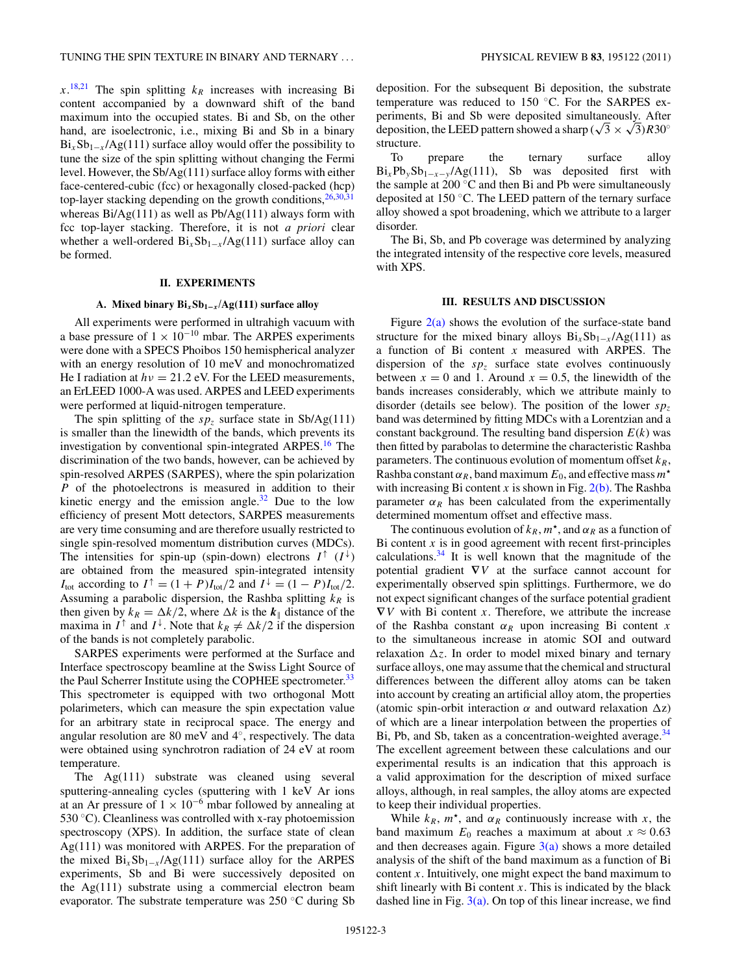$x$ <sup>[18,](#page-5-0)[21](#page-6-0)</sup> The spin splitting  $k_R$  increases with increasing Bi content accompanied by a downward shift of the band maximum into the occupied states. Bi and Sb, on the other hand, are isoelectronic, i.e., mixing Bi and Sb in a binary  $Bi<sub>x</sub> Sb<sub>1-x</sub>/Ag(111)$  surface alloy would offer the possibility to tune the size of the spin splitting without changing the Fermi level. However, the Sb/Ag(111) surface alloy forms with either face-centered-cubic (fcc) or hexagonally closed-packed (hcp) top-layer stacking depending on the growth conditions,  $26,30,31$ whereas  $Bi/Ag(111)$  as well as  $Pb/Ag(111)$  always form with fcc top-layer stacking. Therefore, it is not *a priori* clear whether a well-ordered  $Bi_xSb_{1-x}/Ag(111)$  surface alloy can be formed.

## **II. EXPERIMENTS**

#### **A. Mixed binary Bi***x***Sb1−***<sup>x</sup>* **/Ag(111) surface alloy**

All experiments were performed in ultrahigh vacuum with a base pressure of  $1 \times 10^{-10}$  mbar. The ARPES experiments were done with a SPECS Phoibos 150 hemispherical analyzer with an energy resolution of 10 meV and monochromatized He I radiation at  $hv = 21.2$  eV. For the LEED measurements, an ErLEED 1000-A was used. ARPES and LEED experiments were performed at liquid-nitrogen temperature.

The spin splitting of the  $sp_z$  surface state in Sb/Ag(111) is smaller than the linewidth of the bands, which prevents its investigation by conventional spin-integrated ARPES.<sup>16</sup> The discrimination of the two bands, however, can be achieved by spin-resolved ARPES (SARPES), where the spin polarization *P* of the photoelectrons is measured in addition to their kinetic energy and the emission angle. $32$  Due to the low efficiency of present Mott detectors, SARPES measurements are very time consuming and are therefore usually restricted to single spin-resolved momentum distribution curves (MDCs). The intensities for spin-up (spin-down) electrons  $I^{\uparrow} (I^{\downarrow})$ are obtained from the measured spin-integrated intensity *I*<sub>tot</sub> according to  $I^{\uparrow} = (1 + P)I_{\text{tot}}/2$  and  $I^{\downarrow} = (1 - P)I_{\text{tot}}/2$ . Assuming a parabolic dispersion, the Rashba splitting  $k_R$  is then given by  $k_R = \Delta k/2$ , where  $\Delta k$  is the  $k_{\parallel}$  distance of the maxima in  $I^{\dagger}$  and  $I^{\dagger}$ . Note that  $k_R \neq \Delta k/2$  if the dispersion of the bands is not completely parabolic.

SARPES experiments were performed at the Surface and Interface spectroscopy beamline at the Swiss Light Source of the Paul Scherrer Institute using the COPHEE spectrometer.<sup>33</sup> This spectrometer is equipped with two orthogonal Mott polarimeters, which can measure the spin expectation value for an arbitrary state in reciprocal space. The energy and angular resolution are 80 meV and 4◦, respectively. The data were obtained using synchrotron radiation of 24 eV at room temperature.

The Ag(111) substrate was cleaned using several sputtering-annealing cycles (sputtering with 1 keV Ar ions at an Ar pressure of  $1 \times 10^{-6}$  mbar followed by annealing at 530  $\degree$ C). Cleanliness was controlled with x-ray photoemission spectroscopy (XPS). In addition, the surface state of clean Ag(111) was monitored with ARPES. For the preparation of the mixed  $Bi_xSb_{1-x}/Ag(111)$  surface alloy for the ARPES experiments, Sb and Bi were successively deposited on the Ag(111) substrate using a commercial electron beam evaporator. The substrate temperature was 250 ◦C during Sb deposition. For the subsequent Bi deposition, the substrate temperature was reduced to 150 ◦C. For the SARPES experiments, Bi and Sb were deposited simultaneously. After deposition, the LEED pattern showed a sharp  $(\sqrt{3} \times \sqrt{3})R30^\circ$ structure.

To prepare the ternary surface alloy  $Bi_xPb_ySb_{1-x-y}/Ag(111)$ , Sb was deposited first with the sample at  $200 °C$  and then Bi and Pb were simultaneously deposited at 150 ◦C. The LEED pattern of the ternary surface alloy showed a spot broadening, which we attribute to a larger disorder.

The Bi, Sb, and Pb coverage was determined by analyzing the integrated intensity of the respective core levels, measured with XPS.

## **III. RESULTS AND DISCUSSION**

Figure  $2(a)$  shows the evolution of the surface-state band structure for the mixed binary alloys  $Bi_xSb_{1-x}/Ag(111)$  as a function of Bi content *x* measured with ARPES. The dispersion of the  $sp<sub>z</sub>$  surface state evolves continuously between  $x = 0$  and 1. Around  $x = 0.5$ , the linewidth of the bands increases considerably, which we attribute mainly to disorder (details see below). The position of the lower  $sp<sub>z</sub>$ band was determined by fitting MDCs with a Lorentzian and a constant background. The resulting band dispersion  $E(k)$  was then fitted by parabolas to determine the characteristic Rashba parameters. The continuous evolution of momentum offset  $k_R$ , Rashba constant  $\alpha_R$ , band maximum  $E_0$ , and effective mass  $m^*$ with increasing Bi content  $x$  is shown in Fig. [2\(b\).](#page-3-0) The Rashba parameter  $\alpha_R$  has been calculated from the experimentally determined momentum offset and effective mass.

The continuous evolution of  $k_R$ ,  $m^*$ , and  $\alpha_R$  as a function of Bi content  $x$  is in good agreement with recent first-principles calculations. $34$  It is well known that the magnitude of the potential gradient **∇***V* at the surface cannot account for experimentally observed spin splittings. Furthermore, we do not expect significant changes of the surface potential gradient **∇***V* with Bi content *x*. Therefore, we attribute the increase of the Rashba constant  $\alpha_R$  upon increasing Bi content *x* to the simultaneous increase in atomic SOI and outward relaxation  $\Delta z$ . In order to model mixed binary and ternary surface alloys, one may assume that the chemical and structural differences between the different alloy atoms can be taken into account by creating an artificial alloy atom, the properties (atomic spin-orbit interaction  $\alpha$  and outward relaxation  $\Delta z$ ) of which are a linear interpolation between the properties of Bi, Pb, and Sb, taken as a concentration-weighted average.<sup>34</sup> The excellent agreement between these calculations and our experimental results is an indication that this approach is a valid approximation for the description of mixed surface alloys, although, in real samples, the alloy atoms are expected to keep their individual properties.

While  $k_R$ ,  $m^*$ , and  $\alpha_R$  continuously increase with *x*, the band maximum  $E_0$  reaches a maximum at about  $x \approx 0.63$ and then decreases again. Figure  $3(a)$  shows a more detailed analysis of the shift of the band maximum as a function of Bi content *x*. Intuitively, one might expect the band maximum to shift linearly with Bi content *x*. This is indicated by the black dashed line in Fig.  $3(a)$ . On top of this linear increase, we find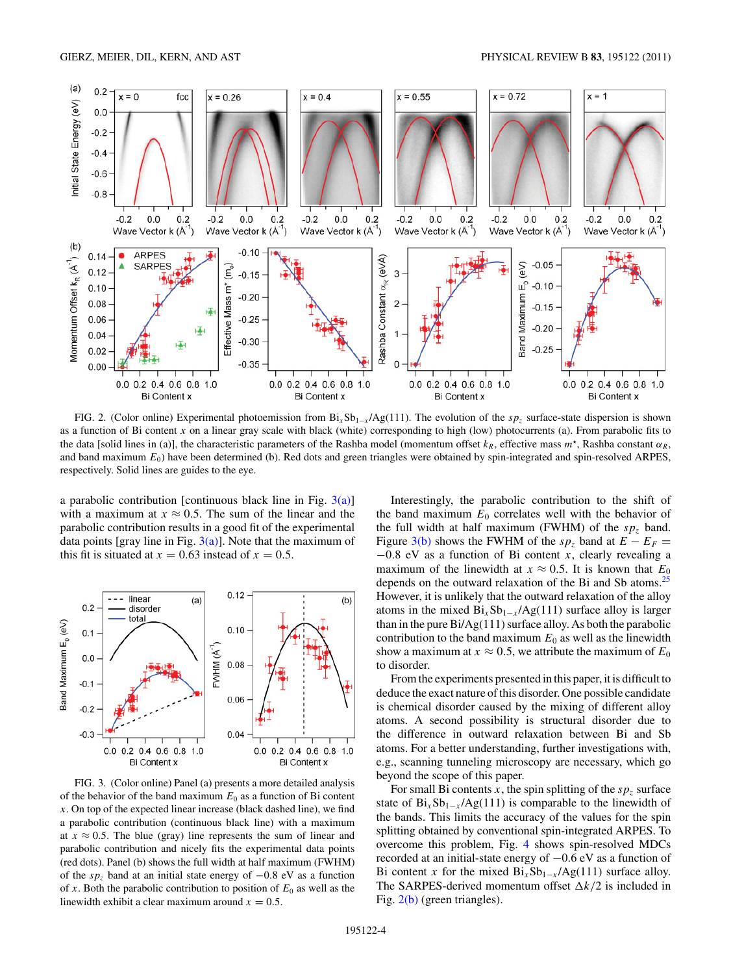<span id="page-3-0"></span>

FIG. 2. (Color online) Experimental photoemission from  $Bi_xSb_{1-x}/Ag(111)$ . The evolution of the  $s_{2x}$  surface-state dispersion is shown as a function of Bi content *x* on a linear gray scale with black (white) corresponding to high (low) photocurrents (a). From parabolic fits to the data [solid lines in (a)], the characteristic parameters of the Rashba model (momentum offset  $k_R$ , effective mass  $m^*$ , Rashba constant  $\alpha_R$ , and band maximum *E*0) have been determined (b). Red dots and green triangles were obtained by spin-integrated and spin-resolved ARPES, respectively. Solid lines are guides to the eye.

a parabolic contribution [continuous black line in Fig.  $3(a)$ ] with a maximum at  $x \approx 0.5$ . The sum of the linear and the parabolic contribution results in a good fit of the experimental data points [gray line in Fig.  $3(a)$ ]. Note that the maximum of this fit is situated at  $x = 0.63$  instead of  $x = 0.5$ .



FIG. 3. (Color online) Panel (a) presents a more detailed analysis of the behavior of the band maximum  $E_0$  as a function of Bi content *x*. On top of the expected linear increase (black dashed line), we find a parabolic contribution (continuous black line) with a maximum at  $x \approx 0.5$ . The blue (gray) line represents the sum of linear and parabolic contribution and nicely fits the experimental data points (red dots). Panel (b) shows the full width at half maximum (FWHM) of the *spz* band at an initial state energy of −0*.*8 eV as a function of *x*. Both the parabolic contribution to position of  $E_0$  as well as the linewidth exhibit a clear maximum around  $x = 0.5$ .

Interestingly, the parabolic contribution to the shift of the band maximum  $E_0$  correlates well with the behavior of the full width at half maximum (FWHM) of the  $sp<sub>z</sub>$  band. Figure 3(b) shows the FWHM of the  $sp_z$  band at  $E - E_F =$ −0*.*8 eV as a function of Bi content *x*, clearly revealing a maximum of the linewidth at  $x \approx 0.5$ . It is known that  $E_0$ depends on the outward relaxation of the Bi and Sb atoms.<sup>25</sup> However, it is unlikely that the outward relaxation of the alloy atoms in the mixed  $Bi_xSb_{1-x}/Ag(111)$  surface alloy is larger than in the pure Bi/Ag(111) surface alloy. As both the parabolic contribution to the band maximum  $E_0$  as well as the linewidth show a maximum at  $x \approx 0.5$ , we attribute the maximum of  $E_0$ to disorder.

From the experiments presented in this paper, it is difficult to deduce the exact nature of this disorder. One possible candidate is chemical disorder caused by the mixing of different alloy atoms. A second possibility is structural disorder due to the difference in outward relaxation between Bi and Sb atoms. For a better understanding, further investigations with, e.g., scanning tunneling microscopy are necessary, which go beyond the scope of this paper.

For small Bi contents  $x$ , the spin splitting of the  $sp<sub>z</sub>$  surface state of  $Bi_xSb_{1-x}/Ag(111)$  is comparable to the linewidth of the bands. This limits the accuracy of the values for the spin splitting obtained by conventional spin-integrated ARPES. To overcome this problem, Fig. [4](#page-4-0) shows spin-resolved MDCs recorded at an initial-state energy of −0.6 eV as a function of Bi content *x* for the mixed  $\text{Bi}_x \text{Sb}_{1-x}/\text{Ag}(111)$  surface alloy. The SARPES-derived momentum offset  $\Delta k/2$  is included in Fig. 2(b) (green triangles).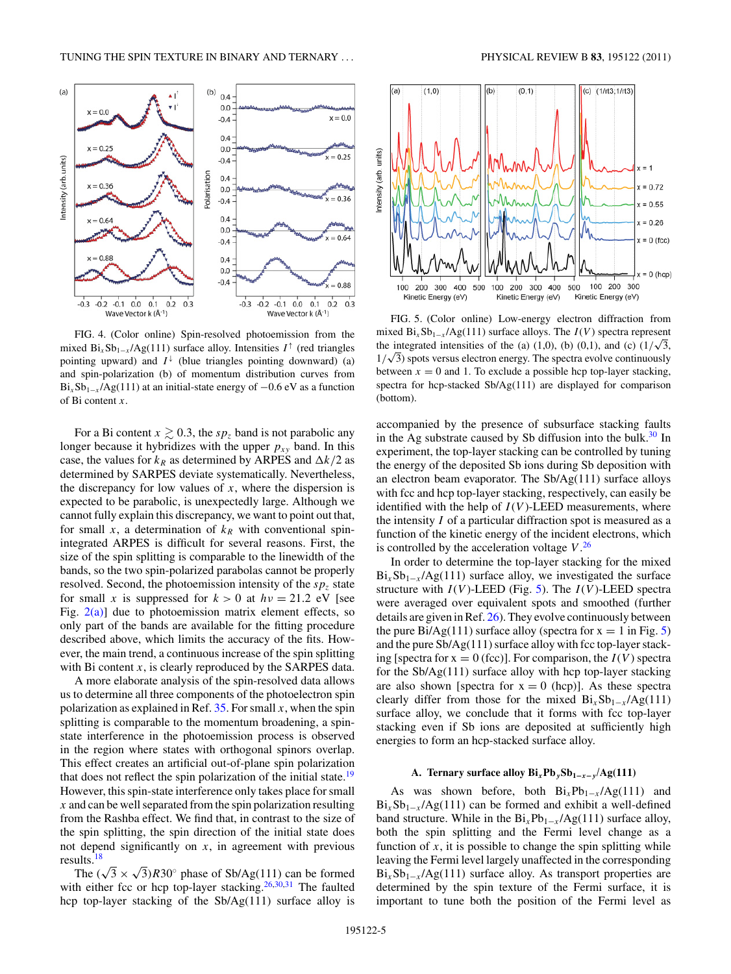<span id="page-4-0"></span>

FIG. 4. (Color online) Spin-resolved photoemission from the mixed Bi<sub>x</sub>Sb<sub>1−*x*</sub> /Ag(111) surface alloy. Intensities *I*<sup>↑</sup> (red triangles pointing upward) and  $I^{\downarrow}$  (blue triangles pointing downward) (a) and spin-polarization (b) of momentum distribution curves from  $Bi<sub>x</sub> Sb<sub>1-x</sub>/Ag(111)$  at an initial-state energy of  $-0.6$  eV as a function of Bi content *x*.

For a Bi content  $x \gtrsim 0.3$ , the  $sp_z$  band is not parabolic any longer because it hybridizes with the upper  $p_{xy}$  band. In this case, the values for  $k_R$  as determined by ARPES and  $\Delta k/2$  as determined by SARPES deviate systematically. Nevertheless, the discrepancy for low values of  $x$ , where the dispersion is expected to be parabolic, is unexpectedly large. Although we cannot fully explain this discrepancy, we want to point out that, for small *x*, a determination of  $k_R$  with conventional spinintegrated ARPES is difficult for several reasons. First, the size of the spin splitting is comparable to the linewidth of the bands, so the two spin-polarized parabolas cannot be properly resolved. Second, the photoemission intensity of the  $sp<sub>z</sub>$  state for small *x* is suppressed for  $k > 0$  at  $hv = 21.2$  eV [see Fig.  $2(a)$ ] due to photoemission matrix element effects, so only part of the bands are available for the fitting procedure described above, which limits the accuracy of the fits. However, the main trend, a continuous increase of the spin splitting with Bi content *x*, is clearly reproduced by the SARPES data.

A more elaborate analysis of the spin-resolved data allows us to determine all three components of the photoelectron spin polarization as explained in Ref.  $35$ . For small *x*, when the spin splitting is comparable to the momentum broadening, a spinstate interference in the photoemission process is observed in the region where states with orthogonal spinors overlap. This effect creates an artificial out-of-plane spin polarization that does not reflect the spin polarization of the initial state.<sup>[19](#page-5-0)</sup> However, this spin-state interference only takes place for small *x* and can be well separated from the spin polarization resulting from the Rashba effect. We find that, in contrast to the size of the spin splitting, the spin direction of the initial state does not depend significantly on *x*, in agreement with previous results.[18](#page-5-0)

The  $(\sqrt{3} \times \sqrt{3})R30^\circ$  phase of Sb/Ag(111) can be formed with either fcc or hcp top-layer stacking.<sup>[26,30,31](#page-6-0)</sup> The faulted hcp top-layer stacking of the Sb/Ag(111) surface alloy is



FIG. 5. (Color online) Low-energy electron diffraction from mixed Bi<sub>x</sub>Sb<sub>1−*x*</sub> /Ag(111) surface alloys. The *I*(*V*) spectra represent the integrated intensities of the (a) (1,0), (b) (0,1), and (c)  $(1/\sqrt{3})$ ,  $1/\sqrt{3}$ ) spots versus electron energy. The spectra evolve continuously between  $x = 0$  and 1. To exclude a possible hcp top-layer stacking, spectra for hcp-stacked Sb/Ag(111) are displayed for comparison (bottom).

accompanied by the presence of subsurface stacking faults in the Ag substrate caused by Sb diffusion into the bulk. $30 \text{ In}$ experiment, the top-layer stacking can be controlled by tuning the energy of the deposited Sb ions during Sb deposition with an electron beam evaporator. The Sb/Ag(111) surface alloys with fcc and hcp top-layer stacking, respectively, can easily be identified with the help of  $I(V)$ -LEED measurements, where the intensity *I* of a particular diffraction spot is measured as a function of the kinetic energy of the incident electrons, which is controlled by the acceleration voltage *V* . [26](#page-6-0)

In order to determine the top-layer stacking for the mixed  $Bi<sub>x</sub>Sb<sub>1-x</sub>/Ag(111)$  surface alloy, we investigated the surface structure with  $I(V)$ -LEED (Fig. 5). The  $I(V)$ -LEED spectra were averaged over equivalent spots and smoothed (further details are given in Ref. [26\)](#page-6-0). They evolve continuously between the pure Bi/Ag(111) surface alloy (spectra for  $x = 1$  in Fig. 5) and the pure Sb/Ag(111) surface alloy with fcc top-layer stacking [spectra for  $x = 0$  (fcc)]. For comparison, the  $I(V)$  spectra for the Sb/Ag(111) surface alloy with hcp top-layer stacking are also shown [spectra for  $x = 0$  (hcp)]. As these spectra clearly differ from those for the mixed  $\text{Bi}_x \text{Sb}_{1-x}/\text{Ag}(111)$ surface alloy, we conclude that it forms with fcc top-layer stacking even if Sb ions are deposited at sufficiently high energies to form an hcp-stacked surface alloy.

## A. Ternary surface alloy  $\text{Bi}_x \text{Pb}_y \text{Sb}_{1-x-y} / \text{Ag}(111)$

As was shown before, both  $Bi_xPb_{1-x}/Ag(111)$  and  $Bi<sub>x</sub> Sb<sub>1-x</sub>/Ag(111)$  can be formed and exhibit a well-defined band structure. While in the  $Bi_xPb_{1-x}/Ag(111)$  surface alloy, both the spin splitting and the Fermi level change as a function of  $x$ , it is possible to change the spin splitting while leaving the Fermi level largely unaffected in the corresponding  $Bi<sub>x</sub> Sb<sub>1-x</sub>/Ag(111)$  surface alloy. As transport properties are determined by the spin texture of the Fermi surface, it is important to tune both the position of the Fermi level as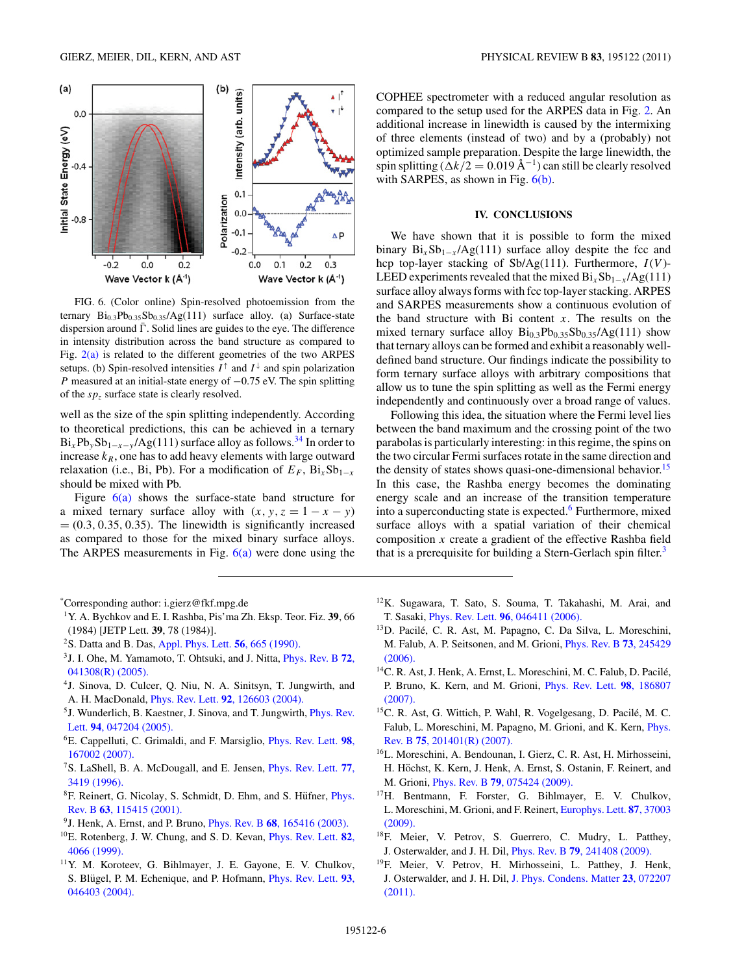<span id="page-5-0"></span>

FIG. 6. (Color online) Spin-resolved photoemission from the ternary  $Bi_{0.3}Pb_{0.35}Sb_{0.35}/Ag(111)$  surface alloy. (a) Surface-state dispersion around  $\bar{\Gamma}$ . Solid lines are guides to the eye. The difference in intensity distribution across the band structure as compared to Fig. [2\(a\)](#page-3-0) is related to the different geometries of the two ARPES setups. (b) Spin-resolved intensities  $I^{\uparrow}$  and  $I^{\downarrow}$  and spin polarization *P* measured at an initial-state energy of −0.75 eV. The spin splitting of the *spz* surface state is clearly resolved.

well as the size of the spin splitting independently. According to theoretical predictions, this can be achieved in a ternary  $Bi_xPb_ySb_{1-x-y}/Ag(111)$  surface alloy as follows.<sup>[34](#page-6-0)</sup> In order to increase  $k_R$ , one has to add heavy elements with large outward relaxation (i.e., Bi, Pb). For a modification of  $E_F$ ,  $Bi_xSb_{1-x}$ should be mixed with Pb.

Figure  $6(a)$  shows the surface-state band structure for a mixed ternary surface alloy with  $(x, y, z = 1 - x - y)$  $= (0.3, 0.35, 0.35)$ . The linewidth is significantly increased as compared to those for the mixed binary surface alloys. The ARPES measurements in Fig.  $6(a)$  were done using the COPHEE spectrometer with a reduced angular resolution as compared to the setup used for the ARPES data in Fig. [2.](#page-3-0) An additional increase in linewidth is caused by the intermixing of three elements (instead of two) and by a (probably) not optimized sample preparation. Despite the large linewidth, the spin splitting  $(\Delta k/2 = 0.019 \text{ Å}^{-1})$  can still be clearly resolved with SARPES, as shown in Fig.  $6(b)$ .

## **IV. CONCLUSIONS**

We have shown that it is possible to form the mixed binary  $Bi_xSb_{1-x}/Ag(111)$  surface alloy despite the fcc and hcp top-layer stacking of Sb/Ag(111). Furthermore, *I* (*V* )- LEED experiments revealed that the mixed  $\text{Bi}_x \text{Sb}_{1-x} / \text{Ag}(111)$ surface alloy always forms with fcc top-layer stacking. ARPES and SARPES measurements show a continuous evolution of the band structure with Bi content *x*. The results on the mixed ternary surface alloy  $Bi_{0,3}Pb_{0,35}Sb_{0,35}/Ag(111)$  show that ternary alloys can be formed and exhibit a reasonably welldefined band structure. Our findings indicate the possibility to form ternary surface alloys with arbitrary compositions that allow us to tune the spin splitting as well as the Fermi energy independently and continuously over a broad range of values.

Following this idea, the situation where the Fermi level lies between the band maximum and the crossing point of the two parabolas is particularly interesting: in this regime, the spins on the two circular Fermi surfaces rotate in the same direction and the density of states shows quasi-one-dimensional behavior.<sup>15</sup> In this case, the Rashba energy becomes the dominating energy scale and an increase of the transition temperature into a superconducting state is expected. $6$  Furthermore, mixed surface alloys with a spatial variation of their chemical composition *x* create a gradient of the effective Rashba field that is a prerequisite for building a Stern-Gerlach spin filter. $3$ 

- \* Corresponding author: i.gierz@fkf.mpg.de
- 1Y. A. Bychkov and E. I. Rashba, Pis'ma Zh. Eksp. Teor. Fiz. **39**, 66 (1984) [JETP Lett. **39**, 78 (1984)].
- 2S. Datta and B. Das, [Appl. Phys. Lett.](http://dx.doi.org/10.1063/1.102730) **56**, 665 (1990).
- 3J. I. Ohe, M. Yamamoto, T. Ohtsuki, and J. Nitta, [Phys. Rev. B](http://dx.doi.org/10.1103/PhysRevB.72.041308) **72**, [041308\(R\) \(2005\).](http://dx.doi.org/10.1103/PhysRevB.72.041308)
- 4J. Sinova, D. Culcer, Q. Niu, N. A. Sinitsyn, T. Jungwirth, and A. H. MacDonald, Phys. Rev. Lett. **92**[, 126603 \(2004\).](http://dx.doi.org/10.1103/PhysRevLett.92.126603)
- 5J. Wunderlich, B. Kaestner, J. Sinova, and T. Jungwirth, [Phys. Rev.](http://dx.doi.org/10.1103/PhysRevLett.94.047204) Lett. **94**[, 047204 \(2005\).](http://dx.doi.org/10.1103/PhysRevLett.94.047204)
- 6E. Cappelluti, C. Grimaldi, and F. Marsiglio, [Phys. Rev. Lett.](http://dx.doi.org/10.1103/PhysRevLett.98.167002) **98**, [167002 \(2007\).](http://dx.doi.org/10.1103/PhysRevLett.98.167002)
- 7S. LaShell, B. A. McDougall, and E. Jensen, [Phys. Rev. Lett.](http://dx.doi.org/10.1103/PhysRevLett.77.3419) **77**, [3419 \(1996\).](http://dx.doi.org/10.1103/PhysRevLett.77.3419)
- <sup>8</sup>F. Reinert, G. Nicolay, S. Schmidt, D. Ehm, and S. Hüfner, *[Phys.](http://dx.doi.org/10.1103/PhysRevB.63.115415)* Rev. B **63**[, 115415 \(2001\).](http://dx.doi.org/10.1103/PhysRevB.63.115415)
- 9J. Henk, A. Ernst, and P. Bruno, Phys. Rev. B **68**[, 165416 \(2003\).](http://dx.doi.org/10.1103/PhysRevB.68.165416)
- 10E. Rotenberg, J. W. Chung, and S. D. Kevan, [Phys. Rev. Lett.](http://dx.doi.org/10.1103/PhysRevLett.82.4066) **82**, [4066 \(1999\).](http://dx.doi.org/10.1103/PhysRevLett.82.4066)
- 11Y. M. Koroteev, G. Bihlmayer, J. E. Gayone, E. V. Chulkov, S. Blügel, P. M. Echenique, and P. Hofmann, *[Phys. Rev. Lett.](http://dx.doi.org/10.1103/PhysRevLett.93.046403)* 93, [046403 \(2004\).](http://dx.doi.org/10.1103/PhysRevLett.93.046403)
- 12K. Sugawara, T. Sato, S. Souma, T. Takahashi, M. Arai, and T. Sasaki, Phys. Rev. Lett. **96**[, 046411 \(2006\).](http://dx.doi.org/10.1103/PhysRevLett.96.046411)
- <sup>13</sup>D. Pacilé, C. R. Ast, M. Papagno, C. Da Silva, L. Moreschini, M. Falub, A. P. Seitsonen, and M. Grioni, [Phys. Rev. B](http://dx.doi.org/10.1103/PhysRevB.73.245429) **73**, 245429 [\(2006\).](http://dx.doi.org/10.1103/PhysRevB.73.245429)
- <sup>14</sup>C. R. Ast, J. Henk, A. Ernst, L. Moreschini, M. C. Falub, D. Pacilé, P. Bruno, K. Kern, and M. Grioni, [Phys. Rev. Lett.](http://dx.doi.org/10.1103/PhysRevLett.98.186807) **98**, 186807 [\(2007\).](http://dx.doi.org/10.1103/PhysRevLett.98.186807)
- <sup>15</sup>C. R. Ast, G. Wittich, P. Wahl, R. Vogelgesang, D. Pacilé, M. C. Falub, L. Moreschini, M. Papagno, M. Grioni, and K. Kern, [Phys.](http://dx.doi.org/10.1103/PhysRevB.75.201401) Rev. B **75**[, 201401\(R\) \(2007\).](http://dx.doi.org/10.1103/PhysRevB.75.201401)
- 16L. Moreschini, A. Bendounan, I. Gierz, C. R. Ast, H. Mirhosseini, H. Höchst, K. Kern, J. Henk, A. Ernst, S. Ostanin, F. Reinert, and M. Grioni, Phys. Rev. B **79**[, 075424 \(2009\).](http://dx.doi.org/10.1103/PhysRevB.79.075424)
- 17H. Bentmann, F. Forster, G. Bihlmayer, E. V. Chulkov, L. Moreschini, M. Grioni, and F. Reinert, [Europhys. Lett.](http://dx.doi.org/10.1209/0295-5075/87/37003) **87**, 37003 [\(2009\).](http://dx.doi.org/10.1209/0295-5075/87/37003)
- <sup>18</sup>F. Meier, V. Petrov, S. Guerrero, C. Mudry, L. Patthey, J. Osterwalder, and J. H. Dil, Phys. Rev. B **79**[, 241408 \(2009\).](http://dx.doi.org/10.1103/PhysRevB.79.241408)
- <sup>19</sup>F. Meier, V. Petrov, H. Mirhosseini, L. Patthey, J. Henk, J. Osterwalder, and J. H. Dil, [J. Phys. Condens. Matter](http://dx.doi.org/10.1088/0953-8984/23/7/072207) **23**, 072207 [\(2011\).](http://dx.doi.org/10.1088/0953-8984/23/7/072207)